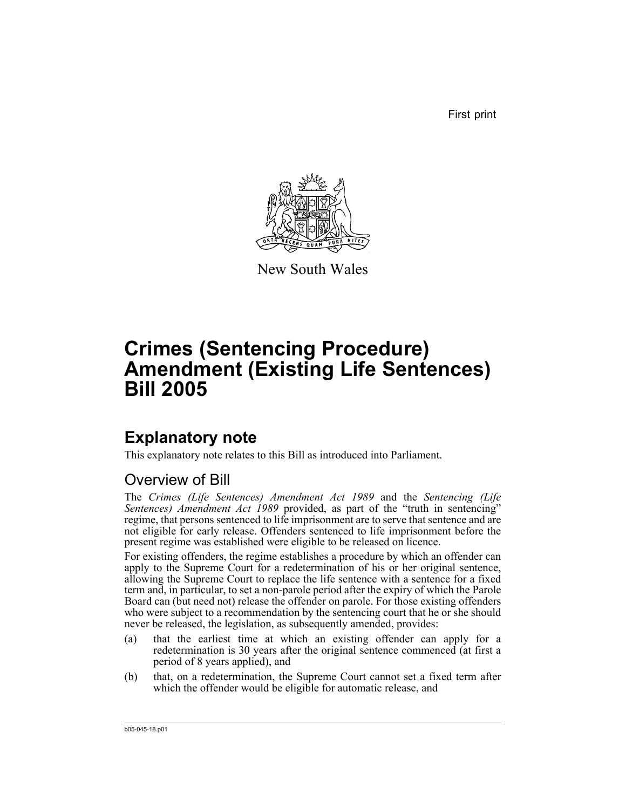First print



New South Wales

# **Crimes (Sentencing Procedure) Amendment (Existing Life Sentences) Bill 2005**

## **Explanatory note**

This explanatory note relates to this Bill as introduced into Parliament.

## Overview of Bill

The *Crimes (Life Sentences) Amendment Act 1989* and the *Sentencing (Life Sentences) Amendment Act 1989* provided, as part of the "truth in sentencing" regime, that persons sentenced to life imprisonment are to serve that sentence and are not eligible for early release. Offenders sentenced to life imprisonment before the present regime was established were eligible to be released on licence.

For existing offenders, the regime establishes a procedure by which an offender can apply to the Supreme Court for a redetermination of his or her original sentence, allowing the Supreme Court to replace the life sentence with a sentence for a fixed term and, in particular, to set a non-parole period after the expiry of which the Parole Board can (but need not) release the offender on parole. For those existing offenders who were subject to a recommendation by the sentencing court that he or she should never be released, the legislation, as subsequently amended, provides:

- (a) that the earliest time at which an existing offender can apply for a redetermination is 30 years after the original sentence commenced (at first a period of 8 years applied), and
- (b) that, on a redetermination, the Supreme Court cannot set a fixed term after which the offender would be eligible for automatic release, and

b05-045-18.p01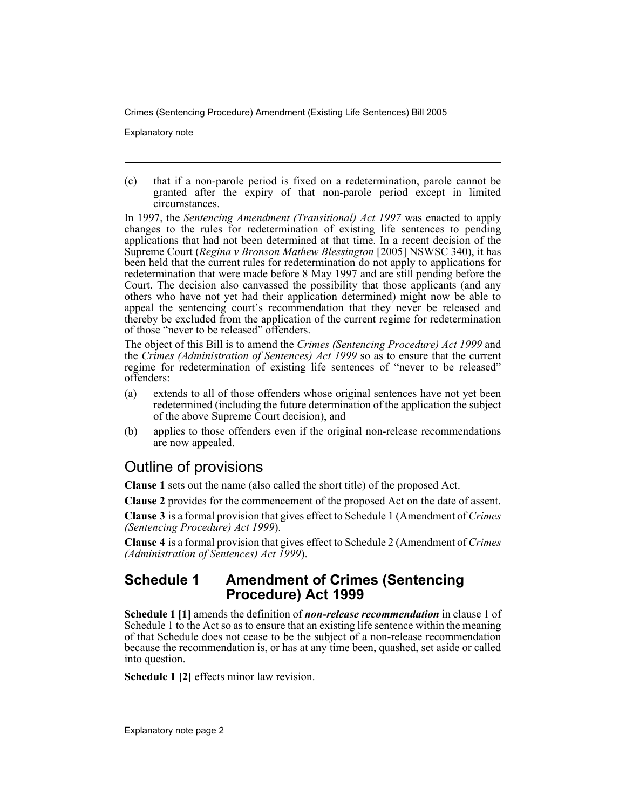Explanatory note

(c) that if a non-parole period is fixed on a redetermination, parole cannot be granted after the expiry of that non-parole period except in limited circumstances.

In 1997, the *Sentencing Amendment (Transitional) Act 1997* was enacted to apply changes to the rules for redetermination of existing life sentences to pending applications that had not been determined at that time. In a recent decision of the Supreme Court (*Regina v Bronson Mathew Blessington* [2005] NSWSC 340), it has been held that the current rules for redetermination do not apply to applications for redetermination that were made before 8 May 1997 and are still pending before the Court. The decision also canvassed the possibility that those applicants (and any others who have not yet had their application determined) might now be able to appeal the sentencing court's recommendation that they never be released and thereby be excluded from the application of the current regime for redetermination of those "never to be released" offenders.

The object of this Bill is to amend the *Crimes (Sentencing Procedure) Act 1999* and the *Crimes (Administration of Sentences) Act 1999* so as to ensure that the current regime for redetermination of existing life sentences of "never to be released" offenders:

- (a) extends to all of those offenders whose original sentences have not yet been redetermined (including the future determination of the application the subject of the above Supreme Court decision), and
- (b) applies to those offenders even if the original non-release recommendations are now appealed.

## Outline of provisions

**Clause 1** sets out the name (also called the short title) of the proposed Act.

**Clause 2** provides for the commencement of the proposed Act on the date of assent.

**Clause 3** is a formal provision that gives effect to Schedule 1 (Amendment of *Crimes (Sentencing Procedure) Act 1999*).

**Clause 4** is a formal provision that gives effect to Schedule 2 (Amendment of *Crimes (Administration of Sentences) Act 1999*).

## **Schedule 1 Amendment of Crimes (Sentencing Procedure) Act 1999**

**Schedule 1 [1]** amends the definition of *non-release recommendation* in clause 1 of Schedule 1 to the Act so as to ensure that an existing life sentence within the meaning of that Schedule does not cease to be the subject of a non-release recommendation because the recommendation is, or has at any time been, quashed, set aside or called into question.

**Schedule 1 [2]** effects minor law revision.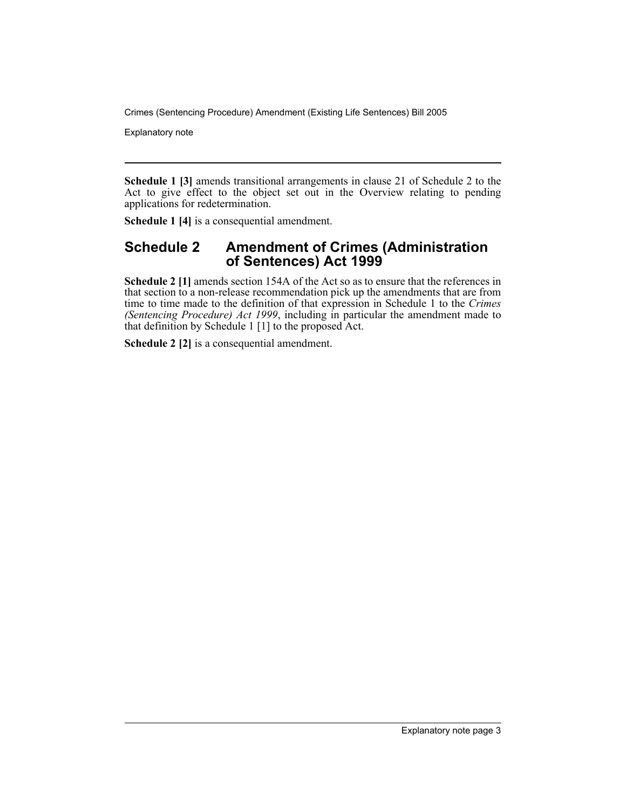Explanatory note

**Schedule 1 [3]** amends transitional arrangements in clause 21 of Schedule 2 to the Act to give effect to the object set out in the Overview relating to pending applications for redetermination.

**Schedule 1 [4]** is a consequential amendment.

## **Schedule 2 Amendment of Crimes (Administration of Sentences) Act 1999**

**Schedule 2 [1]** amends section 154A of the Act so as to ensure that the references in that section to a non-release recommendation pick up the amendments that are from time to time made to the definition of that expression in Schedule 1 to the *Crimes (Sentencing Procedure) Act 1999*, including in particular the amendment made to that definition by Schedule 1 [1] to the proposed Act.

**Schedule 2 [2]** is a consequential amendment.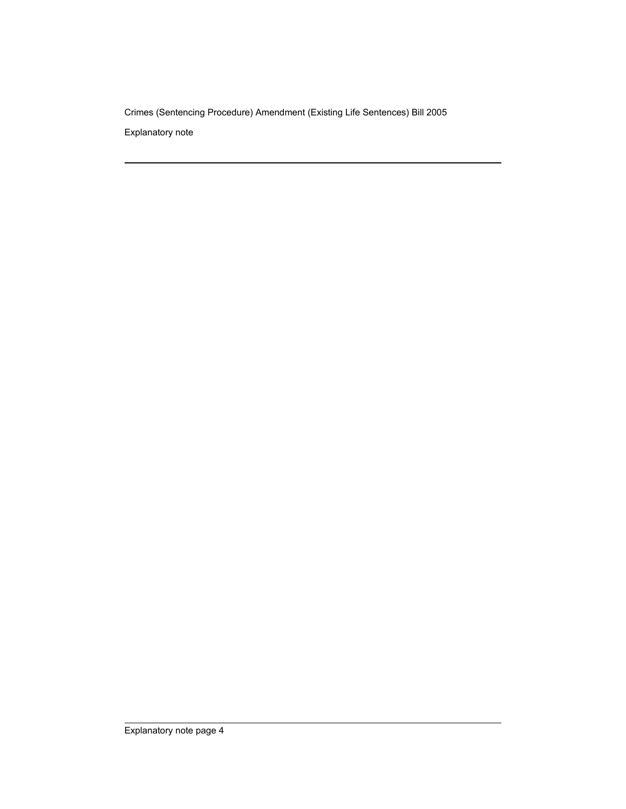Crimes (Sentencing Procedure) Amendment (Existing Life Sentences) Bill 2005 Explanatory note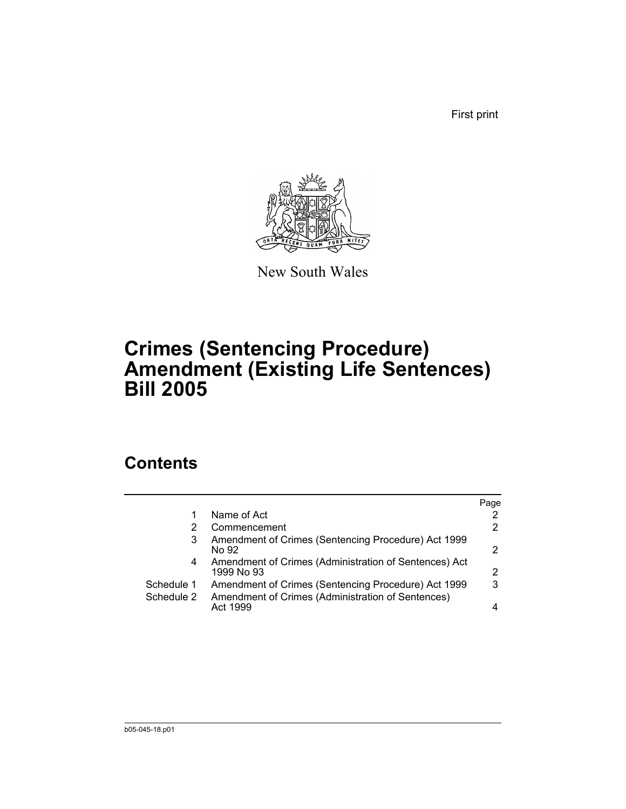First print



New South Wales

# **Crimes (Sentencing Procedure) Amendment (Existing Life Sentences) Bill 2005**

## **Contents**

|            |                                                                     | Page |
|------------|---------------------------------------------------------------------|------|
|            | Name of Act                                                         |      |
|            | Commencement                                                        | 2    |
| 3          | Amendment of Crimes (Sentencing Procedure) Act 1999<br>No 92        | 2    |
| 4          | Amendment of Crimes (Administration of Sentences) Act<br>1999 No 93 | 2    |
| Schedule 1 | Amendment of Crimes (Sentencing Procedure) Act 1999                 | 3    |
| Schedule 2 | Amendment of Crimes (Administration of Sentences)<br>Act 1999       |      |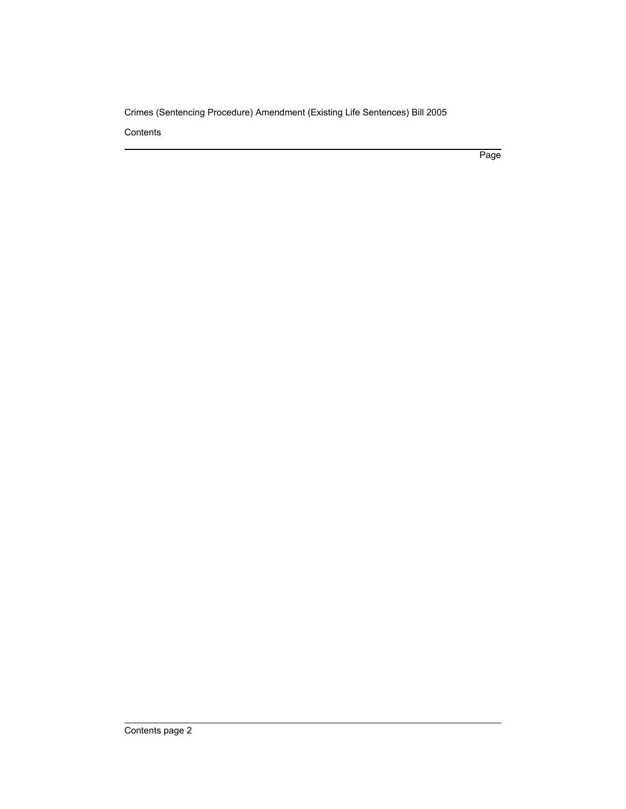Page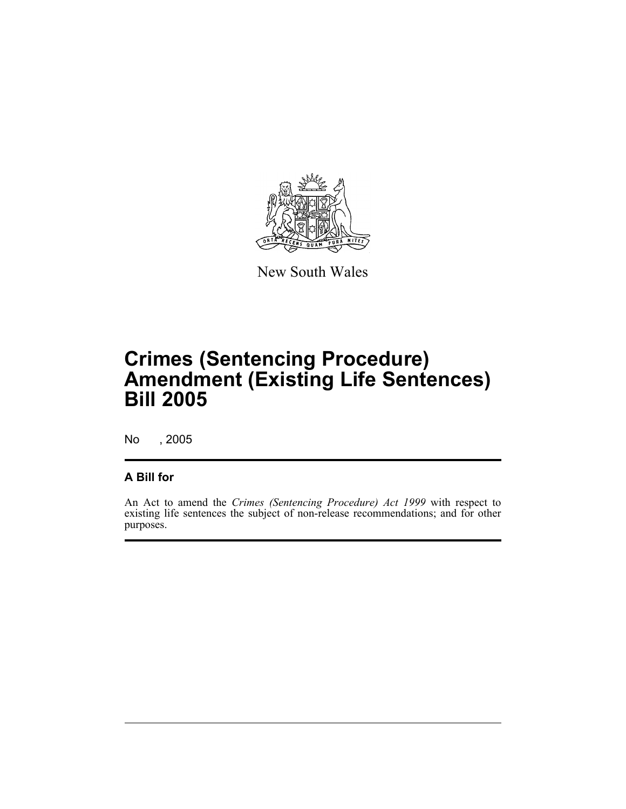

New South Wales

# **Crimes (Sentencing Procedure) Amendment (Existing Life Sentences) Bill 2005**

No , 2005

#### **A Bill for**

An Act to amend the *Crimes (Sentencing Procedure) Act 1999* with respect to existing life sentences the subject of non-release recommendations; and for other purposes.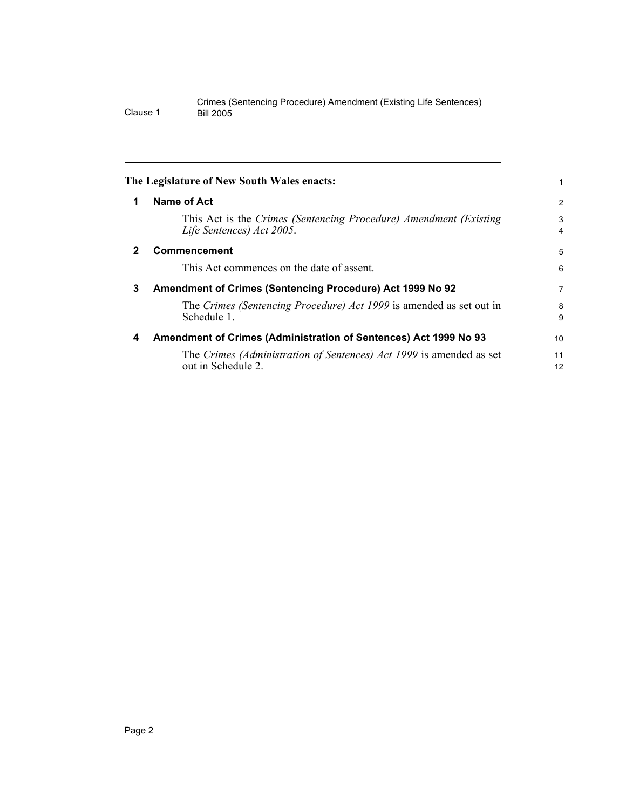<span id="page-7-2"></span><span id="page-7-1"></span><span id="page-7-0"></span>

|   | The Legislature of New South Wales enacts:                                                     |                |
|---|------------------------------------------------------------------------------------------------|----------------|
| 1 | Name of Act                                                                                    | $\overline{2}$ |
|   | This Act is the Crimes (Sentencing Procedure) Amendment (Existing<br>Life Sentences) Act 2005. | 3<br>4         |
| 2 | Commencement                                                                                   | 5              |
|   | This Act commences on the date of assent.                                                      | 6              |
| 3 | Amendment of Crimes (Sentencing Procedure) Act 1999 No 92                                      | 7              |
|   | The Crimes (Sentencing Procedure) Act 1999 is amended as set out in<br>Schedule 1.             | 8<br>9         |
| 4 | Amendment of Crimes (Administration of Sentences) Act 1999 No 93                               | 10             |
|   | The Crimes (Administration of Sentences) Act 1999 is amended as set<br>out in Schedule 2.      | 11<br>12       |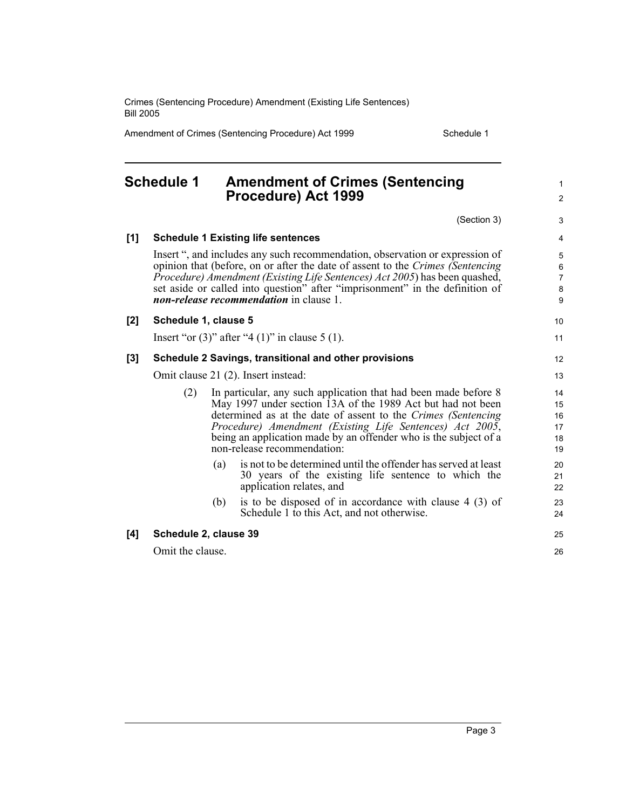Amendment of Crimes (Sentencing Procedure) Act 1999 Schedule 1

1 2

#### <span id="page-8-0"></span>**Schedule 1 Amendment of Crimes (Sentencing Procedure) Act 1999**

|     |                                     |     | (Section 3)                                                                                                                                                                                                                                                                                                                                                                            | 3                                  |
|-----|-------------------------------------|-----|----------------------------------------------------------------------------------------------------------------------------------------------------------------------------------------------------------------------------------------------------------------------------------------------------------------------------------------------------------------------------------------|------------------------------------|
| [1] |                                     |     | <b>Schedule 1 Existing life sentences</b>                                                                                                                                                                                                                                                                                                                                              | 4                                  |
|     |                                     |     | Insert ", and includes any such recommendation, observation or expression of<br>opinion that (before, on or after the date of assent to the Crimes (Sentencing)<br><i>Procedure) Amendment (Existing Life Sentences) Act 2005)</i> has been quashed,<br>set aside or called into question" after "imprisonment" in the definition of<br><i>non-release recommendation</i> in clause 1. | 5<br>6<br>$\overline{7}$<br>8<br>9 |
| [2] | Schedule 1, clause 5                |     |                                                                                                                                                                                                                                                                                                                                                                                        | 10                                 |
|     |                                     |     | Insert "or $(3)$ " after "4 $(1)$ " in clause 5 $(1)$ .                                                                                                                                                                                                                                                                                                                                | 11                                 |
| [3] |                                     |     | Schedule 2 Savings, transitional and other provisions                                                                                                                                                                                                                                                                                                                                  | 12                                 |
|     | Omit clause 21 (2). Insert instead: |     |                                                                                                                                                                                                                                                                                                                                                                                        |                                    |
|     | (2)                                 |     | In particular, any such application that had been made before 8<br>May 1997 under section 13A of the 1989 Act but had not been<br>determined as at the date of assent to the Crimes (Sentencing<br>Procedure) Amendment (Existing Life Sentences) Act 2005,<br>being an application made by an offender who is the subject of a<br>non-release recommendation:                         | 14<br>15<br>16<br>17<br>18<br>19   |
|     |                                     | (a) | is not to be determined until the offender has served at least<br>30 years of the existing life sentence to which the<br>application relates, and                                                                                                                                                                                                                                      | 20<br>21<br>22                     |
|     |                                     | (b) | is to be disposed of in accordance with clause 4 (3) of<br>Schedule 1 to this Act, and not otherwise.                                                                                                                                                                                                                                                                                  | 23<br>24                           |
| [4] | Schedule 2, clause 39               |     |                                                                                                                                                                                                                                                                                                                                                                                        | 25                                 |
|     | Omit the clause.                    |     |                                                                                                                                                                                                                                                                                                                                                                                        | 26                                 |
|     |                                     |     |                                                                                                                                                                                                                                                                                                                                                                                        |                                    |